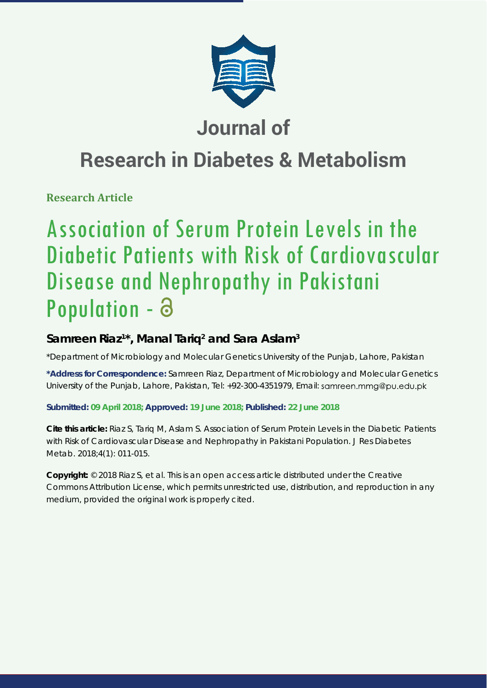

# **Journal of**

# **Research in Diabetes & Metabolism**

**Research Article**

# Association of Serum Protein Levels in the Diabetic Patients with Risk of Cardiovascular Disease and Nephropathy in Pakistani Population -

# **Samreen Riaz1 \*, Manal Tariq2 and Sara Aslam3**

*\*Department of Microbiology and Molecular Genetics University of the Punjab, Lahore, Pakistan*

**\*Address for Correspondence:** Samreen Riaz, Department of Microbiology and Molecular Genetics University of the Punjab, Lahore, Pakistan, Tel: +92-300-4351979, Email:

# **Submitted: 09 April 2018; Approved: 19 June 2018; Published: 22 June 2018**

**Cite this article:** Riaz S, Tariq M, Aslam S. Association of Serum Protein Levels in the Diabetic Patients with Risk of Cardiovascular Disease and Nephropathy in Pakistani Population. J Res Diabetes Metab. 2018;4(1): 011-015.

**Copyright:** © 2018 Riaz S, et al. This is an open access article distributed under the Creative Commons Attribution License, which permits unrestricted use, distribution, and reproduction in any medium, provided the original work is properly cited.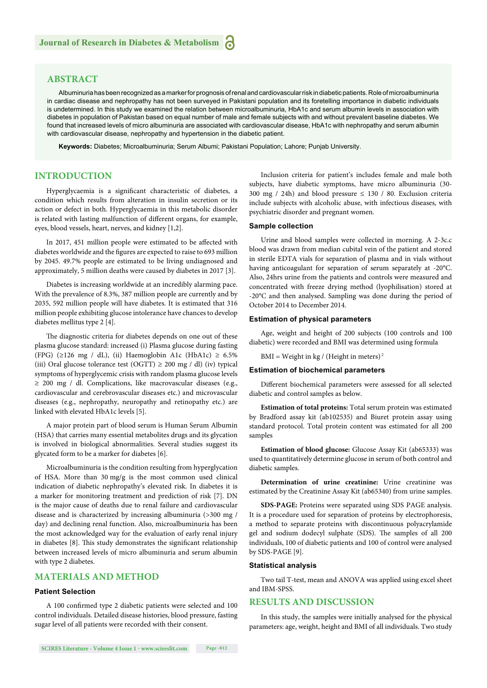# **ABSTRACT**

Albuminuria has been recognized as a marker for prognosis of renal and cardiovascular risk in diabetic patients. Role of microalbuminuria in cardiac disease and nephropathy has not been surveyed in Pakistani population and its foretelling importance in diabetic individuals is undetermined. In this study we examined the relation between microalbuminuria, HbA1c and serum albumin levels in association with diabetes in population of Pakistan based on equal number of male and female subjects with and without prevalent baseline diabetes. We found that increased levels of micro albuminuria are associated with cardiovascular disease, HbA1c with nephropathy and serum albumin with cardiovascular disease, nephropathy and hypertension in the diabetic patient.

**Keywords:** Diabetes; Microalbuminuria; Serum Albumi; Pakistani Population; Lahore; Punjab University.

# **INTRODUCTION**

Hyperglycaemia is a significant characteristic of diabetes, a condition which results from alteration in insulin secretion or its action or defect in both. Hyperglycaemia in this metabolic disorder is related with lasting malfunction of different organs, for example, eyes, blood vessels, heart, nerves, and kidney [1,2].

In 2017, 451 million people were estimated to be affected with diabetes worldwide and the figures are expected to raise to 693 million by 2045. 49.7% people are estimated to be living undiagnosed and approximately, 5 million deaths were caused by diabetes in 2017 [3].

Diabetes is increasing worldwide at an incredibly alarming pace. With the prevalence of 8.3%, 387 million people are currently and by 2035, 592 million people will have diabetes. It is estimated that 316 million people exhibiting glucose intolerance have chances to develop diabetes mellitus type 2 [4].

The diagnostic criteria for diabetes depends on one out of these plasma glucose standard: increased (i) Plasma glucose during fasting (FPG) ( $\geq$ 126 mg / dL), (ii) Haemoglobin A1c (HbA1c)  $\geq$  6.5% (iii) Oral glucose tolerance test (OGTT)  $\geq$  200 mg / dl) (iv) typical symptoms of hyperglycemic crisis with random plasma glucose levels ≥ 200 mg / dl. Complications, like macrovascular diseases (e.g., cardiovascular and cerebrovascular diseases etc.) and microvascular diseases (e.g., nephropathy, neuropathy and retinopathy etc.) are linked with elevated HbA1c levels [5].

A major protein part of blood serum is Human Serum Albumin (HSA) that carries many essential metabolites drugs and its glycation is involved in biological abnormalities. Several studies suggest its glycated form to be a marker for diabetes [6].

Microalbuminuria is the condition resulting from hyperglycation of HSA. More than 30 mg/g is the most common used clinical indication of diabetic nephropathy's elevated risk. In diabetes it is a marker for monitoring treatment and prediction of risk [7]. DN is the major cause of deaths due to renal failure and cardiovascular disease and is characterized by increasing albuminuria (>300 mg / day) and declining renal function. Also, microalbuminuria has been the most acknowledged way for the evaluation of early renal injury in diabetes [8]. This study demonstrates the significant relationship between increased levels of micro albuminuria and serum albumin with type 2 diabetes.

### **MATERIALS AND METHOD**

#### **Patient Selection**

A 100 confirmed type 2 diabetic patients were selected and 100 control individuals. Detailed disease histories, blood pressure, fasting sugar level of all patients were recorded with their consent.

Inclusion criteria for patient's includes female and male both subjects, have diabetic symptoms, have micro albuminuria (30- 300 mg / 24h) and blood pressure  $\leq$  130 / 80. Exclusion criteria include subjects with alcoholic abuse, with infectious diseases, with psychiatric disorder and pregnant women.

#### **Sample collection**

Urine and blood samples were collected in morning. A 2-3c.c blood was drawn from median cubital vein of the patient and stored in sterile EDTA vials for separation of plasma and in vials without having anticoagulant for separation of serum separately at -20°C. Also, 24hrs urine from the patients and controls were measured and concentrated with freeze drying method (lyophilisation) stored at -20°C and then analysed. Sampling was done during the period of October 2014 to December 2014.

#### **Estimation of physical parameters**

Age, weight and height of 200 subjects (100 controls and 100 diabetic) were recorded and BMI was determined using formula

BMI = Weight in kg / (Height in meters)<sup>2</sup>

#### **Estimation of biochemical parameters**

Different biochemical parameters were assessed for all selected diabetic and control samples as below.

**Estimation of total proteins:** Total serum protein was estimated by Bradford assay kit (ab102535) and Biuret protein assay using standard protocol. Total protein content was estimated for all 200 samples

**Estimation of blood glucose:** Glucose Assay Kit (ab65333) was used to quantitatively determine glucose in serum of both control and diabetic samples.

**Determination of urine creatinine:** Urine creatinine was estimated by the Creatinine Assay Kit (ab65340) from urine samples.

**SDS-PAGE:** Proteins were separated using SDS PAGE analysis. It is a procedure used for separation of proteins by electrophoresis, a method to separate proteins with discontinuous polyacrylamide gel and sodium dodecyl sulphate (SDS). The samples of all 200 individuals, 100 of diabetic patients and 100 of control were analysed by SDS-PAGE [9].

#### **Statistical analysis**

Two tail T-test, mean and ANOVA was applied using excel sheet and IBM-SPSS.

### **RESULTS AND DISCUSSION**

In this study, the samples were initially analysed for the physical parameters: age, weight, height and BMI of all individuals. Two study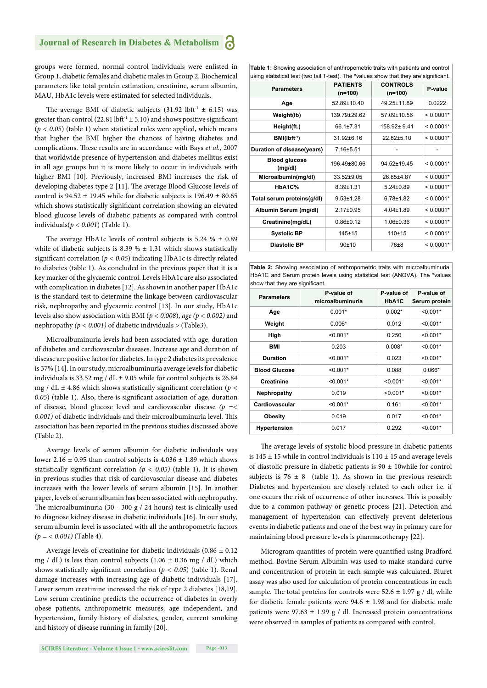# **Journal of Research in Diabetes & Metabolism**

groups were formed, normal control individuals were enlisted in Group 1, diabetic females and diabetic males in Group 2. Biochemical parameters like total protein estimation, creatinine, serum albumin, MAU, HbA1c levels were estimated for selected individuals.

The average BMI of diabetic subjects (31.92 lbft<sup>-1</sup>  $\pm$  6.15) was greater than control (22.81 lbft<sup>-1</sup>  $\pm$  5.10) and shows positive significant  $(p < 0.05)$  (table 1) when statistical rules were applied, which means that higher the BMI higher the chances of having diabetes and complications. These results are in accordance with Bays et al., 2007 that worldwide presence of hypertension and diabetes mellitus exist in all age groups but it is more likely to occur in individuals with higher BMI [10]. Previously, increased BMI increases the risk of developing diabetes type 2 [11]. The average Blood Glucose levels of control is  $94.52 \pm 19.45$  while for diabetic subjects is  $196.49 \pm 80.65$ which shows statistically significant correlation showing an elevated blood glucose levels of diabetic patients as compared with control individuals(*p < 0.001*) (Table 1).

The average HbA1c levels of control subjects is  $5.24 \% \pm 0.89$ while of diabetic subjects is 8.39 %  $\pm$  1.31 which shows statistically significant correlation ( $p < 0.05$ ) indicating HbA1c is directly related to diabetes (table 1). As concluded in the previous paper that it is a key marker of the glycaemic control. Levels HbA1c are also associated with complication in diabetes [12]. As shown in another paper HbA1c is the standard test to determine the linkage between cardiovascular risk, nephropathy and glycaemic control [13]. In our study, HbA1c levels also show association with BMI (*p < 0.008*), *age (p < 0.002)* and nephropathy  $(p < 0.001)$  of diabetic individuals  $>(Table 3)$ .

Microalbuminuria levels had been associated with age, duration of diabetes and cardiovascular diseases. Increase age and duration of disease are positive factor for diabetes. In type 2 diabetes its prevalence is 37% [14]. In our study, microalbuminuria average levels for diabetic individuals is 33.52 mg /  $dL \pm 9.05$  while for control subjects is 26.84 mg / dL  $\pm$  4.86 which shows statistically significant correlation ( $p$  < 0.05) (table 1). Also, there is significant association of age, duration of disease, blood glucose level and cardiovascular disease *(p =<*  0.001) of diabetic individuals and their microalbuminuria level. This association has been reported in the previous studies discussed above (Table 2).

Average levels of serum albumin for diabetic individuals was lower 2.16  $\pm$  0.95 than control subjects is 4.036  $\pm$  1.89 which shows statistically significant correlation  $(p < 0.05)$  (table 1). It is shown in previous studies that risk of cardiovascular disease and diabetes increases with the lower levels of serum albumin [15]. In another paper, levels of serum albumin has been associated with nephropathy. The microalbuminuria (30 - 300 g / 24 hours) test is clinically used to diagnose kidney disease in diabetic individuals [16]. In our study, serum albumin level is associated with all the anthropometric factors  $(p = < 0.001)$  (Table 4).

Average levels of creatinine for diabetic individuals  $(0.86 \pm 0.12)$ mg / dL) is less than control subjects  $(1.06 \pm 0.36 \text{ mg }$  / dL) which shows statistically significant correlation ( $p < 0.05$ ) (table 1). Renal damage increases with increasing age of diabetic individuals [17]. Lower serum creatinine increased the risk of type 2 diabetes [18,19]. Low serum creatinine predicts the occurrence of diabetes in overly obese patients, anthropometric measures, age independent, and hypertension, family history of diabetes, gender, current smoking and history of disease running in family [20].

**Table 1:** Showing association of anthropometric traits with patients and control using statistical test (two tail T-test). The \*values show that they are significant

| <b>Parameters</b>              | <b>PATIENTS</b><br>$(n=100)$ | <b>CONTROLS</b><br>$(n=100)$ | P-value     |  |
|--------------------------------|------------------------------|------------------------------|-------------|--|
| Age                            | 52.89±10.40                  | 49.25±11.89                  | 0.0222      |  |
| Weight(lb)                     | 139.79±29.62                 | 57.09±10.56                  | $< 0.0001*$ |  |
| Height(ft.)                    | 66.1±7.31                    | 158.92± 9.41                 | $< 0.0001*$ |  |
| $BM(Ibft-1)$                   | 31.92±6.16                   | 22.82±5.10                   | $< 0.0001*$ |  |
| Duration of disease(years)     | $7.16 + 5.51$                |                              |             |  |
| <b>Blood glucose</b><br>(mg/d) | 196.49±80.66                 | 94.52±19.45                  | $< 0.0001*$ |  |
| Microalbumin(mg/dl)            | 33.52±9.05                   | 26.85±4.87                   | $< 0.0001*$ |  |
| HbA1C%                         | $8.39 + 1.31$                | $5.24 \pm 0.89$              | $< 0.0001*$ |  |
| Total serum proteins(g/dl)     | $9.53 + 1.28$                | $6.78 + 1.82$                | $< 0.0001*$ |  |
| Albumin Serum (mg/dl)          | $2.17 \pm 0.95$              | $4.04 \pm 1.89$              | $< 0.0001*$ |  |
| Creatinine(mg/dL)              | $0.86 \pm 0.12$              | $1.06 \pm 0.36$              | $< 0.0001*$ |  |
| <b>Systolic BP</b>             | $145 + 15$                   | $110+15$                     | $< 0.0001*$ |  |
| Diastolic BP                   | 90±10                        | 76±8                         | $< 0.0001*$ |  |
|                                |                              |                              |             |  |

**Table 2:** Showing association of anthropometric traits with microalbuminuria, HbA1C and Serum protein levels using statistical test (ANOVA). The \*values show that they are significant.

| <b>Parameters</b>    | P-value of<br>microalbuminuria | P-value of<br>HbA1C | P-value of<br>Serum protein |
|----------------------|--------------------------------|---------------------|-----------------------------|
| Age                  | $0.001*$                       | $0.002*$            | $< 0.001*$                  |
| Weight               | $0.006*$                       | 0.012               | $< 0.001*$                  |
| High                 | $< 0.001*$                     | 0.250               | $< 0.001*$                  |
| BMI                  | 0.203                          | $0.008*$            | $< 0.001*$                  |
| <b>Duration</b>      | $< 0.001*$                     | 0.023               | $< 0.001*$                  |
| <b>Blood Glucose</b> | $< 0.001*$                     | 0.088               | $0.066*$                    |
| <b>Creatinine</b>    | $< 0.001*$                     | $< 0.001*$          | $< 0.001*$                  |
| Nephropathy          | 0.019                          | $< 0.001*$          | $< 0.001*$                  |
| Cardiovascular       | $< 0.001*$                     | 0.161               | $< 0.001*$                  |
| <b>Obesity</b>       | 0.019                          | 0.017               | $< 0.001*$                  |
| Hypertension         | 0.017                          | 0.292               | $< 0.001*$                  |

The average levels of systolic blood pressure in diabetic patients is  $145 \pm 15$  while in control individuals is  $110 \pm 15$  and average levels of diastolic pressure in diabetic patients is 90 ± 10while for control subjects is  $76 \pm 8$  (table 1). As shown in the previous research Diabetes and hypertension are closely related to each other i.e. if one occurs the risk of occurrence of other increases. This is possibly due to a common pathway or genetic process [21]. Detection and management of hypertension can effectively prevent deleterious events in diabetic patients and one of the best way in primary care for maintaining blood pressure levels is pharmacotherapy [22].

Microgram quantities of protein were quantified using Bradford method. Bovine Serum Albumin was used to make standard curve and concentration of protein in each sample was calculated. Biuret assay was also used for calculation of protein concentrations in each sample. The total proteins for controls were  $52.6 \pm 1.97$  g / dl, while for diabetic female patients were  $94.6 \pm 1.98$  and for diabetic male patients were 97.63  $\pm$  1.99 g / dl. Increased protein concentrations were observed in samples of patients as compared with control.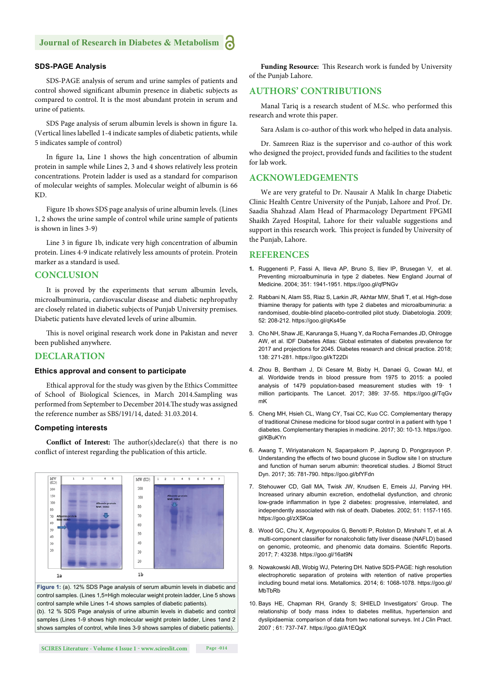### **SDS-PAGE Analysis**

SDS-PAGE analysis of serum and urine samples of patients and control showed significant albumin presence in diabetic subjects as compared to control. It is the most abundant protein in serum and urine of patients.

SDS Page analysis of serum albumin levels is shown in figure 1a. (Vertical lines labelled 1-4 indicate samples of diabetic patients, while 5 indicates sample of control)

In figure 1a, Line 1 shows the high concentration of albumin protein in sample while Lines 2, 3 and 4 shows relatively less protein concentrations. Protein ladder is used as a standard for comparison of molecular weights of samples. Molecular weight of albumin is 66 KD.

Figure 1b shows SDS page analysis of urine albumin levels. (Lines 1, 2 shows the urine sample of control while urine sample of patients is shown in lines 3-9)

Line 3 in figure 1b, indicate very high concentration of albumin protein. Lines 4-9 indicate relatively less amounts of protein. Protein marker as a standard is used.

#### **CONCLUSION**

It is proved by the experiments that serum albumin levels, microalbuminuria, cardiovascular disease and diabetic nephropathy are closely related in diabetic subjects of Punjab University premises. Diabetic patients have elevated levels of urine albumin.

This is novel original research work done in Pakistan and never been published anywhere.

#### **DECLARATION**

#### **Ethics approval and consent to participate**

Ethical approval for the study was given by the Ethics Committee of School of Biological Sciences, in March 2014.Sampling was performed from September to December 2014. The study was assigned the reference number as SBS/191/14, dated: 31.03.2014.

#### **Competing interests**

**Conflict of Interest:** The author(s)declare(s) that there is no conflict of interest regarding the publication of this article.



**Figure 1:** (a). 12% SDS Page analysis of serum albumin levels in diabetic and control samples. (Lines 1,5=High molecular weight protein ladder, Line 5 shows control sample while Lines 1-4 shows samples of diabetic patients).

(b). 12 % SDS Page analysis of urine albumin levels in diabetic and control samples (Lines 1-9 shows high molecular weight protein ladder, Lines 1and 2 shows samples of control, while lines 3-9 shows samples of diabetic patients).

Funding Resource: This Research work is funded by University of the Punjab Lahore.

### **AUTHORS' CONTRIBUTIONS**

Manal Tariq is a research student of M.Sc. who performed this research and wrote this paper.

Sara Aslam is co-author of this work who helped in data analysis.

Dr. Samreen Riaz is the supervisor and co-author of this work who designed the project, provided funds and facilities to the student for lab work.

### **ACKNOWLEDGEMENTS**

We are very grateful to Dr. Nausair A Malik In charge Diabetic Clinic Health Centre University of the Punjab, Lahore and Prof. Dr. Saadia Shahzad Alam Head of Pharmacology Department FPGMI Shaikh Zayed Hospital, Lahore for their valuable suggestions and support in this research work. This project is funded by University of the Punjab, Lahore.

#### **REFERENCES**

- **1.** Ruggenenti P, Fassi A, Ilieva AP, Bruno S, Iliev IP, Brusegan V, et al. Preventing microalbuminuria in type 2 diabetes. New England Journal of Medicine. 2004; 351: 1941-1951. https://goo.gl/qfPNGv
- 2. Rabbani N, Alam SS, Riaz S, Larkin JR, Akhtar MW, Shafi T, et al. High-dose thiamine therapy for patients with type 2 diabetes and microalbuminuria: a randomised, double-blind placebo-controlled pilot study. Diabetologia. 2009; 52: 208-212. https://goo.gl/qKs45e
- 3. Cho NH, Shaw JE, Karuranga S, Huang Y, da Rocha Fernandes JD, Ohlrogge AW, et al. IDF Diabetes Atlas: Global estimates of diabetes prevalence for 2017 and projections for 2045. Diabetes research and clinical practice. 2018; 138: 271-281. https://goo.gl/kT22Di
- 4. Zhou B, Bentham J, Di Cesare M, Bixby H, Danaei G, Cowan MJ, et al. Worldwide trends in blood pressure from 1975 to 2015: a pooled analysis of 1479 population-based measurement studies with 19· 1 million participants. The Lancet. 2017; 389: 37-55. https://goo.gl/TqGv mK
- 5. Cheng MH, Hsieh CL, Wang CY, Tsai CC, Kuo CC. Complementary therapy of traditional Chinese medicine for blood sugar control in a patient with type 1 diabetes. Complementary therapies in medicine. 2017; 30: 10-13. https://goo. gl/KBuKYn
- 6. Awang T, Wiriyatanakorn N, Saparpakorn P, Japrung D, Pongprayoon P. Understanding the effects of two bound glucose in Sudlow site I on structure and function of human serum albumin: theoretical studies. J Biomol Struct Dyn. 2017; 35: 781-790. https://goo.gl/bfYFdn
- 7. Stehouwer CD, Gall MA, Twisk JW, Knudsen E, Emeis JJ, Parving HH. Increased urinary albumin excretion, endothelial dysfunction, and chronic low-grade inflammation in type 2 diabetes: progressive, interrelated, and independently associated with risk of death. Diabetes. 2002; 51: 1157-1165. https://goo.gl/zXSKoa
- 8. Wood GC, Chu X, Argyropoulos G, Benotti P, Rolston D, Mirshahi T, et al. A multi-component classifier for nonalcoholic fatty liver disease (NAFLD) based on genomic, proteomic, and phenomic data domains. Scientific Reports. 2017; 7: 43238. https://goo.gl/16at9N
- 9. Nowakowski AB, Wobig WJ, Petering DH. Native SDS-PAGE: high resolution electrophoretic separation of proteins with retention of native properties including bound metal ions. Metallomics. 2014; 6: 1068-1078. https://goo.gl/ MbTbRb
- 10. Bays HE, Chapman RH, Grandy S; SHIELD Investigators' Group. The relationship of body mass index to diabetes mellitus, hypertension and dyslipidaemia: comparison of data from two national surveys. Int J Clin Pract. 2007 ; 61: 737-747. https://goo.gl/A1EQgX